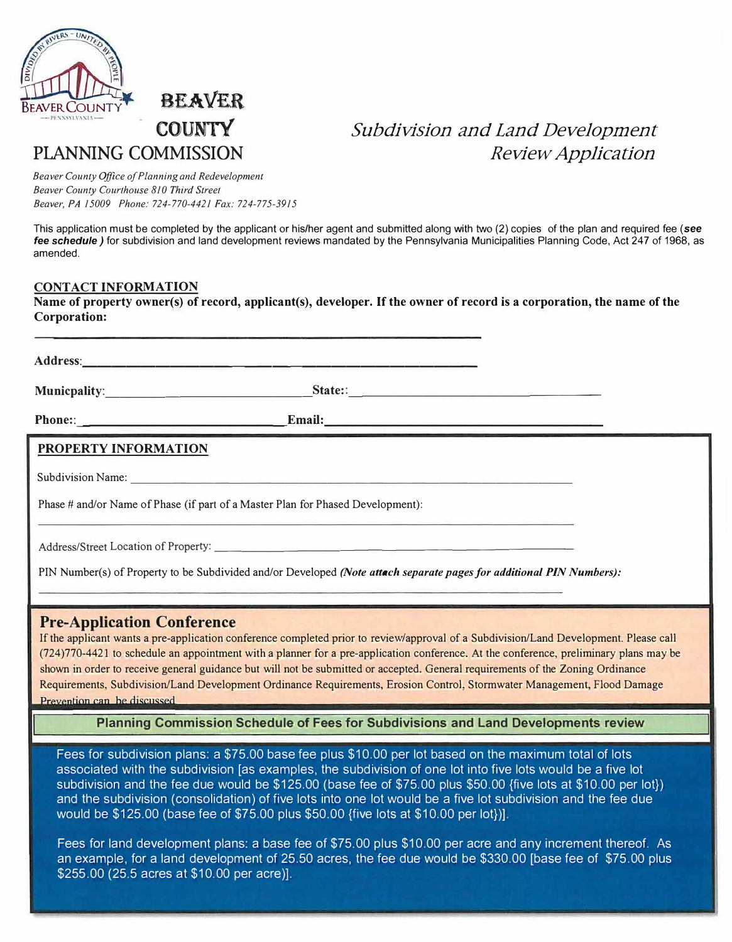

## **- COUNTY PLANNING COMMISSION**

### *Subdivision and Land Development Review Application*

*Beaver County Office of Planning and Redevelopment Beaver County Courthouse 810 Third Street Beaver, PA 15009 Phone: 724-770-4421 Fax: 724-775-3915* 

This application must be completed by the applicant or his/her agent and submitted along with two (2) copies of the plan and required fee **(see**  *fee schedule)* for subdivision and land development reviews mandated by the Pennsylvania Municipalities Planning Code, Act 247 of 1968, as amended.

#### **CONTACT INFORMATION**

**Name of property owner(s) of record, applicant(s), developer. If the owner of record is a corporation, the name of the Corporation:** 

| <b>PROPERTY INFORMATION</b>                                       |                                                                                                                                                                                                                                                        |                                                                                                                                                                                                                                                                                                                                                                                                           |
|-------------------------------------------------------------------|--------------------------------------------------------------------------------------------------------------------------------------------------------------------------------------------------------------------------------------------------------|-----------------------------------------------------------------------------------------------------------------------------------------------------------------------------------------------------------------------------------------------------------------------------------------------------------------------------------------------------------------------------------------------------------|
|                                                                   | Subdivision Name: Name: Name: Name: Name: Name: Name: Name: Name: Name: Name: Name: Name: Name: Name: Name: Name: Name: Name: Name: Name: Name: Name: Name: Name: Name: Name: Name: Name: Name: Name: Name: Name: Name: Name:                          |                                                                                                                                                                                                                                                                                                                                                                                                           |
|                                                                   | Phase # and/or Name of Phase (if part of a Master Plan for Phased Development):<br><u> 1989 - Jan Barat, amerikan bertakan perangai perangan pada tahun 1980 - Perangan Barat, perangai perangai per</u>                                               |                                                                                                                                                                                                                                                                                                                                                                                                           |
|                                                                   | Address/Street Location of Property:                                                                                                                                                                                                                   |                                                                                                                                                                                                                                                                                                                                                                                                           |
|                                                                   | PIN Number(s) of Property to be Subdivided and/or Developed (Note attach separate pages for additional PIN Numbers):<br><u> 1989 - Andrej Sternessen, en antikel av den som starte som en sterre som en som starte</u>                                 |                                                                                                                                                                                                                                                                                                                                                                                                           |
| <b>Pre-Application Conference</b><br>Prevention can be discussed. | shown in order to receive general guidance but will not be submitted or accepted. General requirements of the Zoning Ordinance<br><u> 1980 - Jan James James James James James James James James James James James James James James James James J</u> | If the applicant wants a pre-application conference completed prior to review/approval of a Subdivision/Land Development. Please call<br>(724)770-4421 to schedule an appointment with a planner for a pre-application conference. At the conference, preliminary plans may be<br>Requirements, Subdivision/Land Development Ordinance Requirements, Erosion Control, Stormwater Management, Flood Damage |

**Planning Commission Schedule of Fees for Subdivisions and Land Developments review** 

Fees for subdivision plans: a \$75.00 base fee plus \$10.00 per lot based on the maximum total of lots associated with the subdivision [as examples, the subdivision of one lot into five lots would be a five lot subdivision and the fee due would be \$125.00 (base fee of \$75.00 plus \$50.00 {five lots at \$10.00 per lot}) and the subdivision (consolidation) of five lots into one lot would be a five lot subdivision and the fee due would be \$125.00 (base fee of \$75.00 plus \$50.00 {five lots at \$10.00 per lot})].

Fees for land development plans: a base fee of \$75.00 plus \$10.00 per acre and any increment thereof. As an example, for a land development of 25.50 acres, the fee due would be \$330.00 [base fee of \$75.00 plus \$255.00 (25.5 acres at \$10.00 per acre)].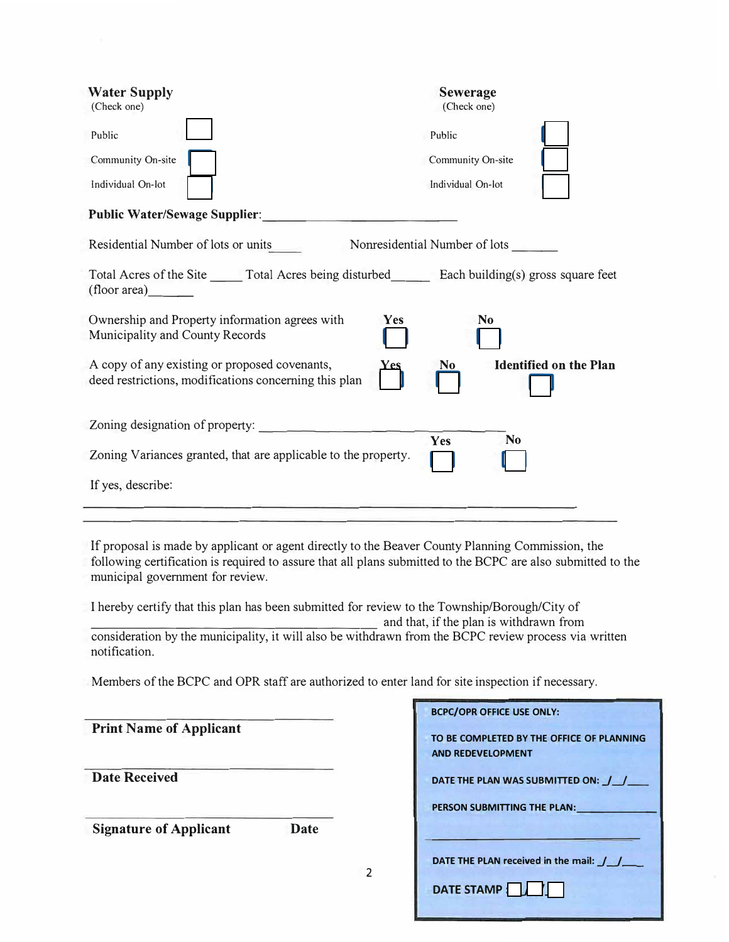| <b>Water Supply</b><br>(Check one)<br>Public<br>Community On-site<br>Individual On-lot                                                                                                                                                               | <b>Sewerage</b><br>(Check one)<br>Public<br>Community On-site<br>Individual On-lot |
|------------------------------------------------------------------------------------------------------------------------------------------------------------------------------------------------------------------------------------------------------|------------------------------------------------------------------------------------|
| <b>Public Water/Sewage Supplier:</b>                                                                                                                                                                                                                 |                                                                                    |
| Residential Number of lots or units                                                                                                                                                                                                                  | Nonresidential Number of lots                                                      |
| Total Acres of the Site ______ Total Acres being disturbed _______ Each building(s) gross square feet<br>(float area)                                                                                                                                |                                                                                    |
| Ownership and Property information agrees with<br>Yes<br>Municipality and County Records                                                                                                                                                             | N <sub>0</sub>                                                                     |
| A copy of any existing or proposed covenants,<br><b>Yes</b><br>deed restrictions, modifications concerning this plan                                                                                                                                 | <b>Identified on the Plan</b><br>No                                                |
|                                                                                                                                                                                                                                                      |                                                                                    |
| Zoning Variances granted, that are applicable to the property.                                                                                                                                                                                       | Yes<br>N <sub>0</sub>                                                              |
| If yes, describe:                                                                                                                                                                                                                                    |                                                                                    |
|                                                                                                                                                                                                                                                      |                                                                                    |
| If proposal is made by applicant or agent directly to the Beaver County Planning Commission, the<br>following certification is required to assure that all plans submitted to the BCPC are also submitted to the<br>municipal government for review. |                                                                                    |
| I hereby certify that this plan has been submitted for review to the Township/Borough/City of                                                                                                                                                        |                                                                                    |
| consideration by the municipality, it will also be withdrawn from the BCPC review process via written<br>notification.                                                                                                                               | and that, if the plan is withdrawn from                                            |
| Members of the BCPC and OPR staff are authorized to enter land for site inspection if necessary.                                                                                                                                                     |                                                                                    |
|                                                                                                                                                                                                                                                      | <b>BCPC/OPR OFFICE USE ONLY:</b>                                                   |
| <b>Print Name of Applicant</b>                                                                                                                                                                                                                       | TO BE COMPLETED BY THE OFFICE OF PLANNING                                          |

2

**Date Received** 

**Signature of Applicant Date** 

| <b>BCPC/OPR OFFICE USE ONLY:</b> |                                            |
|----------------------------------|--------------------------------------------|
| <b>AND REDEVELOPMENT</b>         | TO BE COMPLETED BY THE OFFICE OF PLANNING  |
|                                  | DATE THE PLAN WAS SUBMITTED ON: / /        |
| PERSON SUBMITTING THE PLAN:      |                                            |
|                                  |                                            |
|                                  | DATE THE PLAN received in the mail: $\int$ |
| DATE STAMP                       |                                            |
|                                  |                                            |